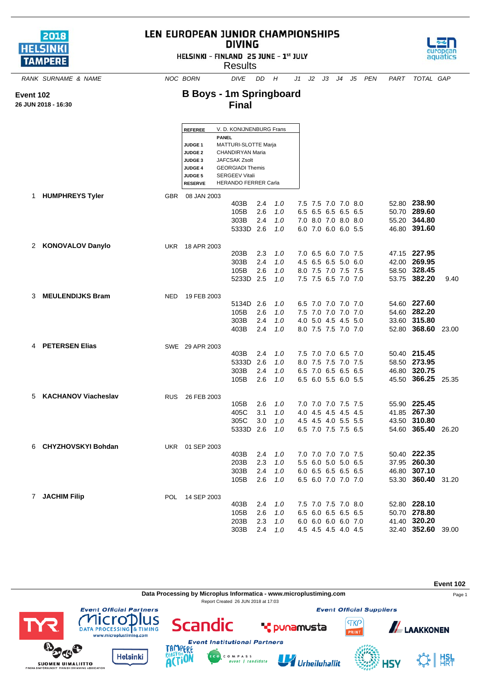| 2018            |  |
|-----------------|--|
| <b>HELSINKI</b> |  |
| <b>TAMPERE</b>  |  |

**Event 102 26 JUN 2018 - 16:30**

## LEN EUROPEAN JUNIOR CHAMPIONSHIPS **DIVING**

HELSINKI - FINLAND 25 JUNE - 1st JULY





*RANK SURNAME & NAME NOC BORN DIVE DD H J1 J2 J3 J4 J5 PEN PART TOTAL GAP*

## **B Boys - 1m Springboard Final**

|    |                            |            | <b>REFEREE</b>                   | V. D. KONIJNENBURG Frans<br><b>PANEL</b>      |            |     |     |                     |  |                    |       |
|----|----------------------------|------------|----------------------------------|-----------------------------------------------|------------|-----|-----|---------------------|--|--------------------|-------|
|    |                            |            | <b>JUDGE 1</b><br><b>JUDGE 2</b> | MATTURI-SLOTTE Marja<br>CHANDIRYAN Maria      |            |     |     |                     |  |                    |       |
|    |                            |            | <b>JUDGE 3</b>                   | <b>JAFCSAK Zsolt</b>                          |            |     |     |                     |  |                    |       |
|    |                            |            | <b>JUDGE 4</b>                   | <b>GEORGIADI Themis</b>                       |            |     |     |                     |  |                    |       |
|    |                            |            | <b>JUDGE 5</b>                   | <b>SERGEEV Vitali</b><br>HERANDO FERRER Carla |            |     |     |                     |  |                    |       |
|    |                            |            | <b>RESERVE</b>                   |                                               |            |     |     |                     |  |                    |       |
| 1. | <b>HUMPHREYS Tyler</b>     | <b>GBR</b> | 08 JAN 2003                      |                                               |            | 1.0 |     | 7.5 7.5 7.0 7.0 8.0 |  | 52.80 238.90       |       |
|    |                            |            |                                  | 403B<br>105B                                  | 2.4<br>2.6 | 1.0 | 6.5 | 6.5 6.5 6.5 6.5     |  | 50.70 289.60       |       |
|    |                            |            |                                  | 303B                                          | 2.4        | 1.0 |     | 7.0 8.0 7.0 8.0 8.0 |  | 55.20 344.80       |       |
|    |                            |            |                                  | 5333D 2.6                                     |            | 1.0 |     | 6.0 7.0 6.0 6.0 5.5 |  | 46.80 391.60       |       |
|    |                            |            |                                  |                                               |            |     |     |                     |  |                    |       |
| 2  | <b>KONOVALOV Danylo</b>    | UKR        | 18 APR 2003                      | 203B                                          | 2.3        | 1.0 |     | 7.0 6.5 6.0 7.0 7.5 |  | 47.15 227.95       |       |
|    |                            |            |                                  | 303B                                          | 2.4        | 1.0 |     | 4.5 6.5 6.5 5.0 6.0 |  | 42.00 269.95       |       |
|    |                            |            |                                  | 105B                                          | 2.6        | 1.0 |     | 8.0 7.5 7.0 7.5 7.5 |  | 58.50 328.45       |       |
|    |                            |            |                                  | 5233D 2.5                                     |            | 1.0 |     | 7.5 7.5 6.5 7.0 7.0 |  | 53.75 382.20       | 9.40  |
|    |                            |            |                                  |                                               |            |     |     |                     |  |                    |       |
| 3  | <b>MEULENDIJKS Bram</b>    | <b>NED</b> | 19 FEB 2003                      | 5134D                                         | 2.6        | 1.0 |     | 6.5 7.0 7.0 7.0 7.0 |  | 54.60 227.60       |       |
|    |                            |            |                                  | 105B                                          | 2.6        | 1.0 |     | 7.5 7.0 7.0 7.0 7.0 |  | 54.60 282.20       |       |
|    |                            |            |                                  | 303B                                          | 2.4        | 1.0 |     | 4.0 5.0 4.5 4.5 5.0 |  | 33.60 315.80       |       |
|    |                            |            |                                  | 403B                                          | 2.4        | 1.0 |     | 8.0 7.5 7.5 7.0 7.0 |  | 52.80 368.60 23.00 |       |
|    | <b>PETERSEN Elias</b>      |            |                                  |                                               |            |     |     |                     |  |                    |       |
| 4  |                            |            | SWE 29 APR 2003                  | 403B                                          | 2.4        | 1.0 |     | 7.5 7.0 7.0 6.5 7.0 |  | 50.40 215.45       |       |
|    |                            |            |                                  | 5333D                                         | 2.6        | 1.0 |     | 8.0 7.5 7.5 7.0 7.5 |  | 58.50 273.95       |       |
|    |                            |            |                                  | 303B                                          | 2.4        | 1.0 |     | 6.5 7.0 6.5 6.5 6.5 |  | 46.80 320.75       |       |
|    |                            |            |                                  | 105B                                          | 2.6        | 1.0 |     | 6.5 6.0 5.5 6.0 5.5 |  | 45.50 366.25       | 25.35 |
| 5. | <b>KACHANOV Viacheslav</b> |            |                                  |                                               |            |     |     |                     |  |                    |       |
|    |                            | <b>RUS</b> | 26 FEB 2003                      | 105B                                          | 2.6        | 1.0 |     | 7.0 7.0 7.0 7.5 7.5 |  | 55.90 225.45       |       |
|    |                            |            |                                  | 405C                                          | 3.1        | 1.0 |     | 4.0 4.5 4.5 4.5 4.5 |  | 41.85 267.30       |       |
|    |                            |            |                                  | 305C                                          | 3.0        | 1.0 |     | 4.5 4.5 4.0 5.5 5.5 |  | 43.50 310.80       |       |
|    |                            |            |                                  | 5333D                                         | 2.6        | 1.0 |     | 6.5 7.0 7.5 7.5 6.5 |  | 54.60 365.40       | 26.20 |
| 6  | <b>CHYZHOVSKYI Bohdan</b>  | UKR        | 01 SEP 2003                      |                                               |            |     |     |                     |  |                    |       |
|    |                            |            |                                  | 403B                                          | 2.4        | 1.0 |     | 7.0 7.0 7.0 7.0 7.5 |  | 50.40 222.35       |       |
|    |                            |            |                                  | 203B                                          | 2.3        | 1.0 |     | 5.5 6.0 5.0 5.0 6.5 |  | 37.95 260.30       |       |
|    |                            |            |                                  | 303B                                          | 2.4        | 1.0 |     | 6.0 6.5 6.5 6.5 6.5 |  | 46.80 307.10       |       |
|    |                            |            |                                  | 105B                                          | 2.6        | 1.0 |     | 6.5 6.0 7.0 7.0 7.0 |  | 53.30 360.40       | 31.20 |
| 7  | <b>JACHIM Filip</b>        | <b>POL</b> | 14 SEP 2003                      |                                               |            |     |     |                     |  |                    |       |
|    |                            |            |                                  | 403B                                          | 2.4        | 1.0 |     | 7.5 7.0 7.5 7.0 8.0 |  | 52.80 228.10       |       |
|    |                            |            |                                  | 105B                                          | 2.6        | 1.0 |     | 6.5 6.0 6.5 6.5 6.5 |  | 50.70 278.80       |       |
|    |                            |            |                                  | 203B                                          | 2.3        | 1.0 |     | 6.0 6.0 6.0 6.0 7.0 |  | 41.40 320.20       |       |
|    |                            |            |                                  | 303B                                          | 2.4        | 1.0 |     | 4.5 4.5 4.5 4.0 4.5 |  | 32.40 352.60       | 39.00 |

**Event 102 Data Processing by Microplus Informatica - www.microplustiming.com** expansion of the Page 1 Report Created 26 JUN 2018 at 17:03**Event Official Partners Event Official Suppliers** lus **PERSONAL PROCESSING & TIMING** licro Scandic **TKP ALAAKKONEN T** punamusta RINT www.microplustiming.com **Event Institutional Partners** ERE アイジ **Helsinki**  $\mathcal{L}_\mathcal{F}$   $\parallel$   $\mathsf{H}_{\mathsf{R}\mathsf{T}}^{\mathsf{SL}}$ C O M P A S S<br>event | candidate

Urheiluhallit

**4SY** 

**ACTION** 

**SUOMEN UIMALIITTO**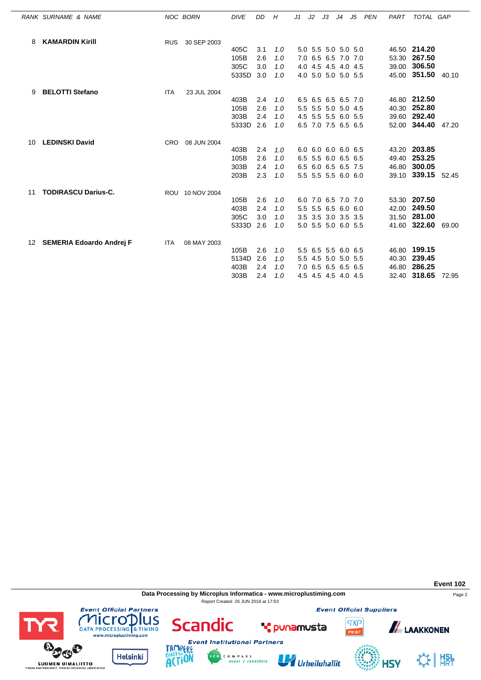|    | RANK SURNAME & NAME             |            | <b>NOC BORN</b> | <b>DIVE</b> | DD  | H   | J1 | J2 | JЗ | J4 J5               | PEN | PART | TOTAL GAP          |       |
|----|---------------------------------|------------|-----------------|-------------|-----|-----|----|----|----|---------------------|-----|------|--------------------|-------|
| 8  | <b>KAMARDIN Kirill</b>          | <b>RUS</b> | 30 SEP 2003     |             |     |     |    |    |    |                     |     |      |                    |       |
|    |                                 |            |                 | 405C        | 3.1 | 1.0 |    |    |    | 5.0 5.5 5.0 5.0 5.0 |     |      | 46.50 214.20       |       |
|    |                                 |            |                 | 105B        | 2.6 | 1.0 |    |    |    | 7.0 6.5 6.5 7.0 7.0 |     |      | 53.30 267.50       |       |
|    |                                 |            |                 | 305C        | 3.0 | 1.0 |    |    |    | 4.0 4.5 4.5 4.0 4.5 |     |      | 39.00 306.50       |       |
|    |                                 |            |                 | 5335D       | 3.0 | 1.0 |    |    |    | 4.0 5.0 5.0 5.0 5.5 |     |      | 45.00 351.50 40.10 |       |
| 9  | <b>BELOTTI Stefano</b>          | <b>ITA</b> | 23 JUL 2004     |             |     |     |    |    |    |                     |     |      |                    |       |
|    |                                 |            |                 | 403B        | 2.4 | 1.0 |    |    |    | 6.5 6.5 6.5 6.5 7.0 |     |      | 46.80 212.50       |       |
|    |                                 |            |                 | 105B        | 2.6 | 1.0 |    |    |    | 5.5 5.5 5.0 5.0 4.5 |     |      | 40.30 252.80       |       |
|    |                                 |            |                 | 303B        | 2.4 | 1.0 |    |    |    | 4.5 5.5 5.5 6.0 5.5 |     |      | 39.60 292.40       |       |
|    |                                 |            |                 | 5333D       | 2.6 | 1.0 |    |    |    | 6.5 7.0 7.5 6.5 6.5 |     |      | 52.00 344.40       | 47.20 |
| 10 | <b>LEDINSKI David</b>           | <b>CRO</b> | 08 JUN 2004     |             |     |     |    |    |    |                     |     |      |                    |       |
|    |                                 |            |                 | 403B        | 2.4 | 1.0 |    |    |    | 6.0 6.0 6.0 6.0 6.5 |     |      | 43.20 203.85       |       |
|    |                                 |            |                 | 105B        | 2.6 | 1.0 |    |    |    | 6.5 5.5 6.0 6.5 6.5 |     |      | 49.40 253.25       |       |
|    |                                 |            |                 | 303B        | 2.4 | 1.0 |    |    |    | 6.5 6.0 6.5 6.5 7.5 |     |      | 46.80 300.05       |       |
|    |                                 |            |                 | 203B        | 2.3 | 1.0 |    |    |    | 5.5 5.5 5.5 6.0 6.0 |     |      | 39.10 339.15 52.45 |       |
| 11 | <b>TODIRASCU Darius-C.</b>      |            | ROU 10 NOV 2004 |             |     |     |    |    |    |                     |     |      |                    |       |
|    |                                 |            |                 | 105B        | 2.6 | 1.0 |    |    |    | 6.0 7.0 6.5 7.0 7.0 |     |      | 53.30 207.50       |       |
|    |                                 |            |                 | 403B        | 2.4 | 1.0 |    |    |    | 5.5 5.5 6.5 6.0 6.0 |     |      | 42.00 249.50       |       |
|    |                                 |            |                 | 305C        | 3.0 | 1.0 |    |    |    | 3.5 3.5 3.0 3.5 3.5 |     |      | 31.50 281.00       |       |
|    |                                 |            |                 | 5333D       | 2.6 | 1.0 |    |    |    | 5.0 5.5 5.0 6.0 5.5 |     |      | 41.60 322.60       | 69.00 |
| 12 | <b>SEMERIA Edoardo Andrej F</b> | <b>ITA</b> | 08 MAY 2003     |             |     |     |    |    |    |                     |     |      |                    |       |
|    |                                 |            |                 | 105B        | 2.6 | 1.0 |    |    |    | 5.5 6.5 5.5 6.0 6.5 |     |      | 46.80 199.15       |       |
|    |                                 |            |                 | 5134D       | 2.6 | 1.0 |    |    |    | 5.5 4.5 5.0 5.0 5.5 |     |      | 40.30 239.45       |       |
|    |                                 |            |                 | 403B        | 2.4 | 1.0 |    |    |    | 7.0 6.5 6.5 6.5 6.5 |     |      | 46.80 286.25       |       |
|    |                                 |            |                 | 303B        | 2.4 | 1.0 |    |    |    | 4.5 4.5 4.5 4.0 4.5 |     |      | 32.40 318.65       | 72.95 |

**Data Processing by Microplus Informatica - www.microplustiming.com** Page 2 Report Created 26 JUN 2018 at 17:03

C O M P A S S<br>event | candidate

**Event Official Suppliers** 

**TKP** 



**ALAAKKONEN** 





**Scandic** 

Urheiluhallit

**T** punamusta



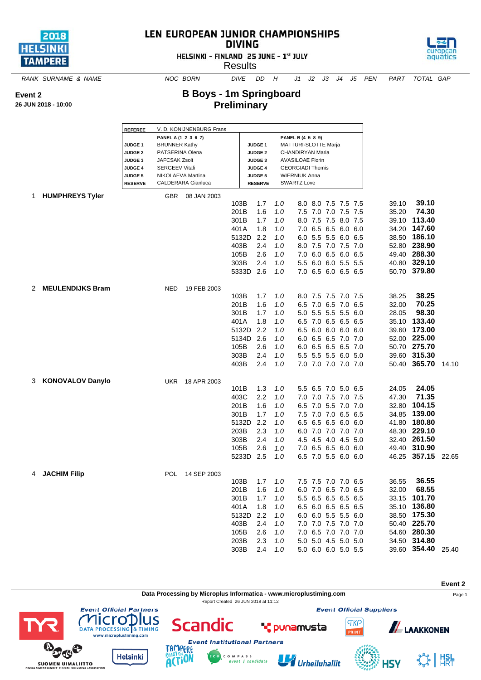

**26 JUN 2018 - 10:00**

**Event 2**

## LEN EUROPEAN JUNIOR CHAMPIONSHIPS **DIVING**

HELSINKI - FINLAND 25 JUNE - 1st JULY

**Results** 



*RANK SURNAME & NAME NOC BORN DIVE DD H J1 J2 J3 J4 J5 PEN PART TOTAL GAP*

## **B Boys - 1m Springboard Preliminary**

|    |                         | <b>REFEREE</b>                                                                                                                                                                                                                                                                |            | V. D. KONIJNENBURG Frans |                                                                        |                                                                                                          |                                                             |                                                                                                                                                                   |                                                                                                                                                                                                             |                          |                                  |                                                                                                                                      |       |
|----|-------------------------|-------------------------------------------------------------------------------------------------------------------------------------------------------------------------------------------------------------------------------------------------------------------------------|------------|--------------------------|------------------------------------------------------------------------|----------------------------------------------------------------------------------------------------------|-------------------------------------------------------------|-------------------------------------------------------------------------------------------------------------------------------------------------------------------|-------------------------------------------------------------------------------------------------------------------------------------------------------------------------------------------------------------|--------------------------|----------------------------------|--------------------------------------------------------------------------------------------------------------------------------------|-------|
|    |                         | PANEL A (1 2 3 6 7)<br><b>BRUNNER Kathy</b><br><b>JUDGE 1</b><br><b>JUDGE 2</b><br>PATSERINA Olena<br><b>JAFCSAK Zsolt</b><br><b>JUDGE 3</b><br><b>SERGEEV Vitali</b><br><b>JUDGE 4</b><br>NIKOLAEVA Martina<br><b>JUDGE 5</b><br><b>CALDERARA Gianluca</b><br><b>RESERVE</b> |            |                          |                                                                        | <b>JUDGE 1</b><br><b>JUDGE 2</b><br><b>JUDGE 3</b><br><b>JUDGE 4</b><br><b>JUDGE 5</b><br><b>RESERVE</b> |                                                             | PANEL B (4 5 8 9)<br>MATTURI-SLOTTE Marja<br>CHANDIRYAN Maria<br><b>AVASILOAE Florin</b><br><b>GEORGIADI Themis</b><br><b>WIERNIUK Anna</b><br><b>SWARTZ Love</b> |                                                                                                                                                                                                             |                          |                                  |                                                                                                                                      |       |
| 1. | <b>HUMPHREYS Tyler</b>  |                                                                                                                                                                                                                                                                               | GBR        | 08 JAN 2003              |                                                                        |                                                                                                          |                                                             |                                                                                                                                                                   |                                                                                                                                                                                                             |                          |                                  |                                                                                                                                      |       |
|    |                         |                                                                                                                                                                                                                                                                               |            |                          | 103B<br>201B<br>301B<br>401A<br>5132D<br>403B<br>105B<br>303B          | 1.7<br>1.6<br>1.7<br>1.8<br>2.2<br>2.4<br>2.6<br>2.4                                                     | 1.0<br>1.0<br>1.0<br>1.0<br>1.0<br>1.0<br>1.0<br>1.0        |                                                                                                                                                                   | 8.0 8.0 7.5 7.5 7.5<br>7.5 7.0 7.0 7.5 7.5<br>8.0 7.5 7.5 8.0 7.5<br>7.0 6.5 6.5 6.0<br>6.0 5.5 5.5 6.0 6.5<br>8.0 7.5 7.0 7.5 7.0<br>7.0 6.0 6.5 6.0 6.5<br>5.5 6.0 6.0 5.5 5.5                            | 6.0                      | 39.10<br>35.20<br>34.20          | 39.10<br>74.30<br>39.10 113.40<br>147.60<br>38.50 186.10<br>52.80 238.90<br>49.40 288.30<br>40.80 329.10                             |       |
|    |                         |                                                                                                                                                                                                                                                                               |            |                          | 5333D 2.6                                                              |                                                                                                          | 1.0                                                         |                                                                                                                                                                   | 7.0 6.5 6.0 6.5 6.5                                                                                                                                                                                         |                          |                                  | 50.70 379.80                                                                                                                         |       |
| 2  | <b>MEULENDIJKS Bram</b> |                                                                                                                                                                                                                                                                               | <b>NED</b> | 19 FEB 2003              | 103B<br>201B<br>301B<br>401A<br>5132D<br>5134D<br>105B<br>303B<br>403B | 1.7<br>1.6<br>1.7<br>1.8<br>2.2<br>2.6<br>2.6<br>2.4<br>2.4                                              | 1.0<br>1.0<br>1.0<br>1.0<br>1.0<br>1.0<br>1.0<br>1.0<br>1.0 |                                                                                                                                                                   | 8.0 7.5 7.5 7.0 7.5<br>6.5 7.0 6.5 7.0 6.5<br>5.0 5.5 5.5 5.5<br>6.5 7.0 6.5 6.5 6.5<br>6.5 6.0 6.0 6.0<br>6.0 6.5 6.5 7.0 7.0<br>6.0 6.5 6.5 6.5 7.0<br>5.5 5.5 5.5 6.0 5.0<br>7.0 7.0 7.0 7.0 7.0         | 6.0<br>6.0               | 38.25<br>32.00<br>28.05<br>39.60 | 38.25<br>70.25<br>98.30<br>35.10 133.40<br>173.00<br>52.00 225.00<br>50.70 275.70<br>39.60 315.30<br>50.40 365.70                    | 14.10 |
| 3  | <b>KONOVALOV Danylo</b> |                                                                                                                                                                                                                                                                               | UKR        | 18 APR 2003              | 101B<br>403C<br>201B<br>301B<br>5132D<br>203B<br>303B<br>105B<br>5233D | 1.3<br>2.2<br>1.6<br>1.7<br>2.2<br>2.3<br>2.4<br>2.6<br>2.5                                              | 1.0<br>1.0<br>1.0<br>1.0<br>1.0<br>1.0<br>1.0<br>1.0<br>1.0 |                                                                                                                                                                   | 5.5 6.5 7.0 5.0<br>7.0 7.0 7.5 7.0 7.5<br>6.5 7.0 5.5 7.0 7.0<br>7.5 7.0 7.0 6.5<br>$6.5$ $6.5$ $6.5$ $6.0$<br>6.0 7.0 7.0 7.0 7.0<br>4.5 4.5 4.0 4.5 5.0<br>7.0 6.5 6.5 6.0<br>6.5 7.0 5.5 6.0 6.0         | 6.5<br>6.5<br>6.0<br>6.0 | 24.05<br>47.30<br>32.80<br>34.85 | 24.05<br>71.35<br>104.15<br>139.00<br>41.80 180.80<br>48.30 229.10<br>32.40 261.50<br>49.40 310.90<br>46.25 357.15                   | 22.65 |
| 4  | <b>JACHIM Filip</b>     |                                                                                                                                                                                                                                                                               | <b>POL</b> | 14 SEP 2003              | 103B<br>201B<br>301B<br>401A<br>5132D<br>403B<br>105B<br>203B<br>303B  | 1.7<br>1.6<br>1.7<br>1.8<br>2.2<br>2.4<br>2.6<br>2.3<br>2.4                                              | 1.0<br>1.0<br>1.0<br>1.0<br>1.0<br>1.0<br>1.0<br>1.0<br>1.0 |                                                                                                                                                                   | 7.5 7.5 7.0 7.0 6.5<br>6.0 7.0 6.5 7.0 6.5<br>5.5 6.5 6.5 6.5 6.5<br>6.5 6.0 6.5 6.5 6.5<br>6.0 6.0 5.5 5.5 6.0<br>7.0 7.0 7.5 7.0 7.0<br>7.0 6.5 7.0 7.0 7.0<br>5.0 5.0 4.5 5.0 5.0<br>5.0 6.0 6.0 5.0 5.5 |                          | 36.55<br>32.00                   | 36.55<br>68.55<br>33.15 101.70<br>35.10 136.80<br>38.50 175.30<br>50.40 225.70<br>54.60 280.30<br>34.50 314.80<br>39.60 354.40 25.40 |       |

**Data Processing by Microplus Informatica - www.microplustiming.com** expansion of the Page 1

Report Created 26 JUN 2018 at 11:12

**Event 2**

**Event Official Suppliers** 

**TKP** 

RINT

**ALAAKKONEN** 





lus



Scandic

U Urheiluhallit

**\*** punamusta



 $\frac{1}{2}$   $\frac{1}{2}$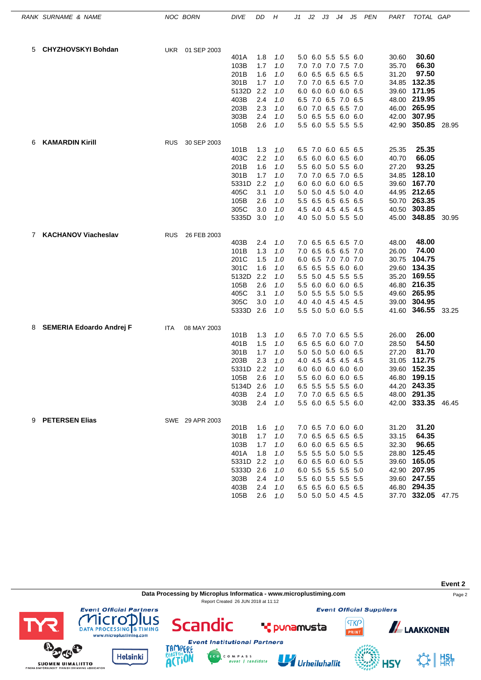|   | RANK SURNAME & NAME        |            | NOC BORN        | <b>DIVE</b>       | DD         | Η          | J1 | J2 | JЗ                                         | J4 | J5  | PEN | PART           | TOTAL GAP                    |       |
|---|----------------------------|------------|-----------------|-------------------|------------|------------|----|----|--------------------------------------------|----|-----|-----|----------------|------------------------------|-------|
| 5 | <b>CHYZHOVSKYI Bohdan</b>  | <b>UKR</b> | 01 SEP 2003     |                   |            |            |    |    |                                            |    |     |     |                |                              |       |
|   |                            |            |                 | 401A              | 1.8        | 1.0        |    |    | 5.0 6.0 5.5 5.5                            |    | 6.0 |     | 30.60          | 30.60                        |       |
|   |                            |            |                 | 103B              | 1.7        | 1.0        |    |    | 7.0 7.0 7.0 7.5 7.0                        |    |     |     | 35.70          | 66.30                        |       |
|   |                            |            |                 | 201B              | 1.6        | 1.0        |    |    | 6.0 6.5 6.5 6.5 6.5                        |    |     |     | 31.20          | 97.50                        |       |
|   |                            |            |                 | 301B              | 1.7        | 1.0        |    |    | 7.0 7.0 6.5 6.5 7.0                        |    |     |     | 34.85          | 132.35                       |       |
|   |                            |            |                 | 5132D             | 2.2        | 1.0        |    |    | 6.0 6.0 6.0 6.0 6.5                        |    |     |     | 39.60          | 171.95                       |       |
|   |                            |            |                 | 403B              | 2.4        | 1.0        |    |    | 6.5 7.0 6.5 7.0 6.5                        |    |     |     | 48.00          | 219.95                       |       |
|   |                            |            |                 | 203B              | 2.3        | 1.0        |    |    | 6.0 7.0 6.5 6.5 7.0                        |    |     |     | 46.00          | 265.95                       |       |
|   |                            |            |                 | 303B              | 2.4        | 1.0        |    |    | 5.0 6.5 5.5 6.0 6.0                        |    |     |     | 42.00          | 307.95                       |       |
|   |                            |            |                 | 105B              | 2.6        | 1.0        |    |    | 5.5 6.0 5.5 5.5 5.5                        |    |     |     |                | 42.90 350.85                 | 28.95 |
| 6 | <b>KAMARDIN Kirill</b>     | <b>RUS</b> | 30 SEP 2003     |                   |            |            |    |    |                                            |    |     |     |                |                              |       |
|   |                            |            |                 | 101B              | 1.3        | 1.0        |    |    | 6.5 7.0 6.0 6.5 6.5                        |    |     |     | 25.35          | 25.35                        |       |
|   |                            |            |                 | 403C              | 2.2        | 1.0        |    |    | 6.5 6.0 6.0 6.5 6.0                        |    |     |     | 40.70          | 66.05                        |       |
|   |                            |            |                 | 201B              | 1.6        | 1.0        |    |    | 5.5 6.0 5.0 5.5 6.0                        |    |     |     | 27.20          | 93.25                        |       |
|   |                            |            |                 | 301B              | 1.7<br>2.2 | 1.0        |    |    | 7.0 7.0 6.5 7.0 6.5                        |    |     |     | 34.85          | 128.10<br>167.70             |       |
|   |                            |            |                 | 5331D<br>405C     | 3.1        | 1.0<br>1.0 |    |    | 6.0 6.0 6.0 6.0 6.5<br>5.0 5.0 4.5 5.0 4.0 |    |     |     | 39.60<br>44.95 | 212.65                       |       |
|   |                            |            |                 | 105B              | 2.6        | 1.0        |    |    | 5.5 6.5 6.5 6.5 6.5                        |    |     |     | 50.70          | 263.35                       |       |
|   |                            |            |                 | 305C              | 3.0        | 1.0        |    |    | 4.5 4.0 4.5 4.5 4.5                        |    |     |     | 40.50          | 303.85                       |       |
|   |                            |            |                 | 5335D             | 3.0        | 1.0        |    |    | 4.0 5.0 5.0 5.5 5.0                        |    |     |     |                | 45.00 348.85                 | 30.95 |
|   |                            |            |                 |                   |            |            |    |    |                                            |    |     |     |                |                              |       |
| 7 | <b>KACHANOV Viacheslav</b> | <b>RUS</b> | 26 FEB 2003     | 403B              | 2.4        | 1.0        |    |    | 7.0 6.5 6.5 6.5 7.0                        |    |     |     | 48.00          | 48.00                        |       |
|   |                            |            |                 | 101B              | 1.3        | 1.0        |    |    | 7.0 6.5 6.5 6.5 7.0                        |    |     |     | 26.00          | 74.00                        |       |
|   |                            |            |                 | 201C              | 1.5        | 1.0        |    |    | 6.0 6.5 7.0 7.0 7.0                        |    |     |     | 30.75          | 104.75                       |       |
|   |                            |            |                 | 301C              | 1.6        | 1.0        |    |    | 6.5 6.5 5.5 6.0 6.0                        |    |     |     | 29.60          | 134.35                       |       |
|   |                            |            |                 | 5132D             | 2.2        | 1.0        |    |    | 5.5 5.0 4.5 5.5 5.5                        |    |     |     | 35.20          | 169.55                       |       |
|   |                            |            |                 | 105B              | 2.6        | 1.0        |    |    | 5.5 6.0 6.0 6.0 6.5                        |    |     |     | 46.80          | 216.35                       |       |
|   |                            |            |                 | 405C              | 3.1        | 1.0        |    |    | 5.0 5.5 5.5 5.0 5.5                        |    |     |     | 49.60          | 265.95                       |       |
|   |                            |            |                 | 305C              | 3.0        | 1.0        |    |    | 4.0 4.0 4.5 4.5 4.5                        |    |     |     | 39.00          | 304.95                       |       |
|   |                            |            |                 | 5333D 2.6         |            | 1.0        |    |    | 5.5 5.0 5.0 6.0 5.5                        |    |     |     | 41.60          | 346.55                       | 33.25 |
| 8 | SEMERIA Edoardo Andrej F   | ITA        | 08 MAY 2003     |                   |            |            |    |    |                                            |    |     |     |                |                              |       |
|   |                            |            |                 | 101B              | 1.3        | 1.0        |    |    | 6.5 7.0 7.0 6.5 5.5                        |    |     |     | 26.00          | 26.00                        |       |
|   |                            |            |                 | 401B              | 1.5        | 1.0        |    |    | 6.5 6.5 6.0 6.0 7.0                        |    |     |     | 28.50          | 54.50                        |       |
|   |                            |            |                 | 301B              | 1.7        | 1.0        |    |    | 5.0 5.0 5.0 6.0 6.5                        |    |     |     | 27.20          | 81.70                        |       |
|   |                            |            |                 | 203B              | 2.3        | 1.0        |    |    | 4.0 4.5 4.5 4.5 4.5                        |    |     |     | 31.05          | 112.75                       |       |
|   |                            |            |                 | 5331D 2.2         |            | 1.0        |    |    | 6.0 6.0 6.0 6.0 6.0                        |    |     |     |                | 39.60 152.35                 |       |
|   |                            |            |                 | 105B<br>5134D 2.6 | 2.6        | 1.0        |    |    | 5.5 6.0 6.0 6.0 6.5<br>6.5 5.5 5.5 5.5 6.0 |    |     |     |                | 46.80 199.15<br>44.20 243.35 |       |
|   |                            |            |                 | 403B              | 2.4        | 1.0<br>1.0 |    |    | 7.0 7.0 6.5 6.5 6.5                        |    |     |     |                | 48.00 291.35                 |       |
|   |                            |            |                 | 303B              | 2.4        | 1.0        |    |    | 5.5 6.0 6.5 5.5 6.0                        |    |     |     |                | 42.00 333.35 46.45           |       |
|   |                            |            |                 |                   |            |            |    |    |                                            |    |     |     |                |                              |       |
|   | 9 PETERSEN Elias           |            | SWE 29 APR 2003 |                   |            |            |    |    |                                            |    |     |     |                | 31.20                        |       |
|   |                            |            |                 | 201B<br>301B      | 1.6<br>1.7 | 1.0<br>1.0 |    |    | 7.0 6.5 7.0 6.0 6.0<br>7.0 6.5 6.5 6.5 6.5 |    |     |     | 31.20<br>33.15 | 64.35                        |       |
|   |                            |            |                 | 103B              | 1.7        | 1.0        |    |    | 6.0 6.0 6.5 6.5 6.5                        |    |     |     | 32.30          | 96.65                        |       |
|   |                            |            |                 | 401A              | 1.8        | 1.0        |    |    | 5.5 5.5 5.0 5.0 5.5                        |    |     |     |                | 28.80 125.45                 |       |
|   |                            |            |                 | 5331D 2.2         |            | 1.0        |    |    | 6.0 6.5 6.0 6.0 5.5                        |    |     |     |                | 39.60 165.05                 |       |
|   |                            |            |                 | 5333D             | 2.6        | 1.0        |    |    | 6.0 5.5 5.5 5.5 5.0                        |    |     |     |                | 42.90 207.95                 |       |
|   |                            |            |                 | 303B              | 2.4        | 1.0        |    |    | 5.5 6.0 5.5 5.5 5.5                        |    |     |     |                | 39.60 247.55                 |       |
|   |                            |            |                 | 403B              | 2.4        | 1.0        |    |    | 6.5 6.5 6.0 6.5 6.5                        |    |     |     |                | 46.80 294.35                 |       |
|   |                            |            |                 | 105B              | 2.6        | 1.0        |    |    | 5.0 5.0 5.0 4.5 4.5                        |    |     |     |                | 37.70 332.05 47.75           |       |

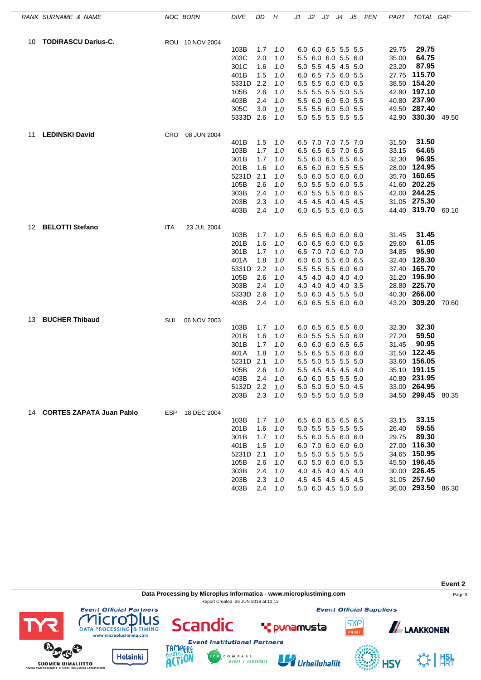|     | RANK SURNAME & NAME         |            | NOC BORN        | <b>DIVE</b>   | DD         | Н          | J1 | J2 | JЗ                                         | J4 | J5 | PEN | PART  | TOTAL GAP          |  |
|-----|-----------------------------|------------|-----------------|---------------|------------|------------|----|----|--------------------------------------------|----|----|-----|-------|--------------------|--|
| 10  | <b>TODIRASCU Darius-C.</b>  |            | ROU 10 NOV 2004 |               |            |            |    |    |                                            |    |    |     |       |                    |  |
|     |                             |            |                 | 103B          | 1.7        | 1.0        |    |    | 6.0 6.0 6.5 5.5 5.5                        |    |    |     | 29.75 | 29.75              |  |
|     |                             |            |                 | 203C          | 2.0        | 1.0        |    |    | 5.5 6.0 6.0 5.5 6.0                        |    |    |     | 35.00 | 64.75              |  |
|     |                             |            |                 | 301C          | 1.6        | 1.0        |    |    | 5.0 5.5 4.5 4.5 5.0                        |    |    |     | 23.20 | 87.95              |  |
|     |                             |            |                 | 401B          | 1.5        | 1.0        |    |    | 6.0 6.5 7.5 6.0 5.5                        |    |    |     | 27.75 | 115.70             |  |
|     |                             |            |                 | 5331D         | 2.2        | 1.0        |    |    | 5.5 5.5 6.0 6.0 6.5                        |    |    |     |       | 38.50 154.20       |  |
|     |                             |            |                 | 105B          | 2.6        | 1.0        |    |    | 5.5 5.5 5.5 5.0 5.5                        |    |    |     |       | 42.90 197.10       |  |
|     |                             |            |                 | 403B          | 2.4        | 1.0        |    |    | 5.5 6.0 6.0 5.0 5.5                        |    |    |     |       | 40.80 237.90       |  |
|     |                             |            |                 | 305C          | 3.0        | 1.0        |    |    | 5.5 5.5 6.0 5.0 5.5                        |    |    |     |       | 49.50 287.40       |  |
|     |                             |            |                 | 5333D 2.6     |            | 1.0        |    |    | 5.0 5.5 5.5 5.5 5.5                        |    |    |     |       | 42.90 330.30 49.50 |  |
| 11  | <b>LEDINSKI David</b>       | <b>CRO</b> | 08 JUN 2004     |               |            |            |    |    |                                            |    |    |     |       |                    |  |
|     |                             |            |                 | 401B          | 1.5        | 1.0        |    |    | 6.5 7.0 7.0 7.5 7.0                        |    |    |     | 31.50 | 31.50              |  |
|     |                             |            |                 | 103B          | 1.7        | 1.0        |    |    | 6.5 6.5 6.5 7.0 6.5                        |    |    |     | 33.15 | 64.65              |  |
|     |                             |            |                 | 301B          | 1.7        | 1.0        |    |    | 5.5 6.0 6.5 6.5 6.5                        |    |    |     | 32.30 | 96.95              |  |
|     |                             |            |                 | 201B          | 1.6        | 1.0        |    |    | 6.5 6.0 6.0 5.5 5.5                        |    |    |     |       | 28.00 124.95       |  |
|     |                             |            |                 | 5231D         | 2.1        | 1.0        |    |    | 5.0 6.0 5.0 6.0 6.0                        |    |    |     |       | 35.70 160.65       |  |
|     |                             |            |                 | 105B          | 2.6        | 1.0        |    |    | 5.0 5.5 5.0 6.0 5.5                        |    |    |     |       | 41.60 202.25       |  |
|     |                             |            |                 | 303B          | 2.4        | 1.0        |    |    | 6.0 5.5 5.5 6.0 6.5                        |    |    |     |       | 42.00 244.25       |  |
|     |                             |            |                 | 203B          | 2.3        | 1.0        |    |    | 4.5 4.5 4.0 4.5 4.5                        |    |    |     |       | 31.05 275.30       |  |
|     |                             |            |                 | 403B          | 2.4        | 1.0        |    |    | 6.0 6.5 5.5 6.0 6.5                        |    |    |     |       | 44.40 319.70 60.10 |  |
| 12  | <b>BELOTTI Stefano</b>      | ITA        | 23 JUL 2004     |               |            |            |    |    |                                            |    |    |     |       |                    |  |
|     |                             |            |                 | 103B          | 1.7        | 1.0        |    |    | 6.5 6.5 6.0 6.0 6.0                        |    |    |     | 31.45 | 31.45              |  |
|     |                             |            |                 | 201B          | 1.6        | 1.0        |    |    | 6.0 6.5 6.0 6.0 6.5                        |    |    |     | 29.60 | 61.05              |  |
|     |                             |            |                 | 301B          | 1.7        | 1.0        |    |    | 6.5 7.0 7.0 6.0 7.0                        |    |    |     | 34.85 | 95.90<br>128.30    |  |
|     |                             |            |                 | 401A<br>5331D | 1.8<br>2.2 | 1.0        |    |    | 6.0 6.0 5.5 6.0 6.5                        |    |    |     | 32.40 | 37.40 165.70       |  |
|     |                             |            |                 |               | 2.6        | 1.0        |    |    | 5.5 5.5 5.5 6.0 6.0                        |    |    |     |       | 31.20 196.90       |  |
|     |                             |            |                 | 105B<br>303B  | 2.4        | 1.0        |    |    | 4.5 4.0 4.0 4.0 4.0                        |    |    |     |       | 28.80 225.70       |  |
|     |                             |            |                 | 5333D         | 2.6        | 1.0        |    |    | 4.0 4.0 4.0 4.0 3.5<br>5.0 6.0 4.5 5.5 5.0 |    |    |     |       | 40.30 266.00       |  |
|     |                             |            |                 | 403B          | 2.4        | 1.0<br>1.0 |    |    | 6.0 6.5 5.5 6.0 6.0                        |    |    |     |       | 43.20 309.20 70.60 |  |
|     |                             |            |                 |               |            |            |    |    |                                            |    |    |     |       |                    |  |
| 13. | <b>BUCHER Thibaud</b>       | SUI        | 06 NOV 2003     | 103B          | 1.7        | 1.0        |    |    | 6.0 6.5 6.5 6.5 6.0                        |    |    |     | 32.30 | 32.30              |  |
|     |                             |            |                 | 201B          | 1.6        | 1.0        |    |    | 6.0 5.5 5.5 5.0 6.0                        |    |    |     | 27.20 | 59.50              |  |
|     |                             |            |                 | 301B          | 1.7        | 1.0        |    |    | 6.0 6.0 6.0 6.5 6.5                        |    |    |     | 31.45 | 90.95              |  |
|     |                             |            |                 | 401A          | 1.8        | 1.0        |    |    | 5.5 6.5 5.5 6.0 6.0                        |    |    |     |       | 31.50 122.45       |  |
|     |                             |            |                 | 5231D         | 2.1        | 1.0        |    |    | 5.5 5.0 5.5 5.5 5.0                        |    |    |     | 33.60 | 156.05             |  |
|     |                             |            |                 | 105B          | 2.6        | 1.0        |    |    | 5.5 4.5 4.5 4.5 4.0                        |    |    |     |       | 35.10 191.15       |  |
|     |                             |            |                 | 403B          | 2.4        | 1.0        |    |    | 6.0 6.0 5.5 5.5 5.0                        |    |    |     |       | 40.80 231.95       |  |
|     |                             |            |                 | 5132D 2.2     |            | 1.0        |    |    | 5.0 5.0 5.0 5.0 4.5                        |    |    |     |       | 33.00 264.95       |  |
|     |                             |            |                 | 203B          | 2.3        | 1.0        |    |    | 5.0 5.5 5.0 5.0 5.0                        |    |    |     |       | 34.50 299.45 80.35 |  |
|     | 14 CORTES ZAPATA Juan Pablo |            | ESP 18 DEC 2004 |               |            |            |    |    |                                            |    |    |     |       |                    |  |
|     |                             |            |                 | 103B          | 1.7        | 1.0        |    |    | 6.5 6.0 6.5 6.5 6.5                        |    |    |     | 33.15 | 33.15              |  |
|     |                             |            |                 | 201B          | 1.6        | 1.0        |    |    | 5.0 5.5 5.5 5.5 5.5                        |    |    |     | 26.40 | 59.55              |  |
|     |                             |            |                 | 301B          | 1.7        | 1.0        |    |    | 5.5 6.0 5.5 6.0 6.0                        |    |    |     | 29.75 | 89.30              |  |
|     |                             |            |                 | 401B          | 1.5        | 1.0        |    |    | 6.0 7.0 6.0 6.0 6.0                        |    |    |     |       | 27.00 116.30       |  |
|     |                             |            |                 | 5231D         | 2.1        | 1.0        |    |    | 5.5 5.0 5.5 5.5 5.5                        |    |    |     |       | 34.65 150.95       |  |
|     |                             |            |                 | 105B          | 2.6        | 1.0        |    |    | 6.0 5.0 6.0 6.0 5.5                        |    |    |     |       | 45.50 196.45       |  |
|     |                             |            |                 | 303B          | 2.4        | 1.0        |    |    | 4.0 4.5 4.0 4.5 4.0                        |    |    |     |       | 30.00 226.45       |  |
|     |                             |            |                 | 203B          | 2.3        | 1.0        |    |    | 4.5 4.5 4.5 4.5 4.5                        |    |    |     |       | 31.05 257.50       |  |
|     |                             |            |                 | 403B          | 2.4        | 1.0        |    |    | 5.0 6.0 4.5 5.0 5.0                        |    |    |     |       | 36.00 293.50 86.30 |  |